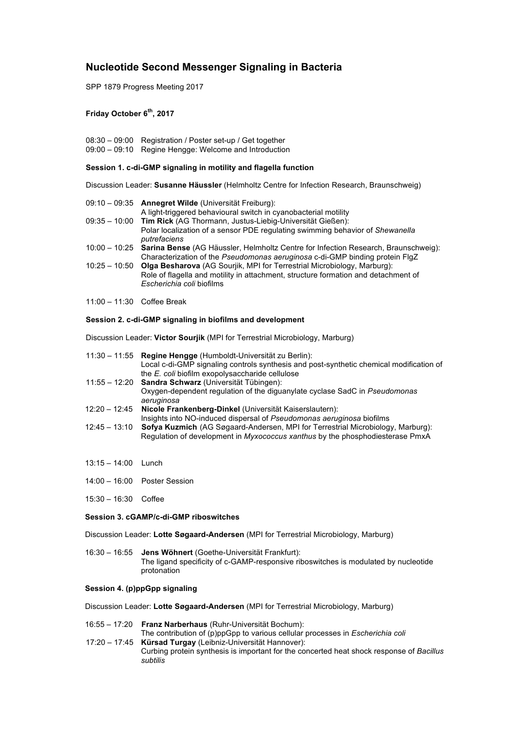# **Nucleotide Second Messenger Signaling in Bacteria**

SPP 1879 Progress Meeting 2017

# **Friday October 6th, 2017**

08:30 – 09:00 Registration / Poster set-up / Get together 09:00 – 09:10 Regine Hengge: Welcome and Introduction

## **Session 1. c-di-GMP signaling in motility and flagella function**

Discussion Leader: **Susanne Häussler** (Helmholtz Centre for Infection Research, Braunschweig)

|                 | 09:10 - 09:35 Annegret Wilde (Universität Freiburg):<br>A light-triggered behavioural switch in cyanobacterial motility                                                                           |
|-----------------|---------------------------------------------------------------------------------------------------------------------------------------------------------------------------------------------------|
|                 | 09:35 - 10:00 Tim Rick (AG Thormann, Justus-Liebig-Universität Gießen):                                                                                                                           |
|                 | Polar localization of a sensor PDE regulating swimming behavior of Shewanella<br>putrefaciens                                                                                                     |
|                 | 10:00 - 10:25 Sarina Bense (AG Häussler, Helmholtz Centre for Infection Research, Braunschweig):<br>Characterization of the <i>Pseudomonas aeruginosa</i> c-di-GMP binding protein FlgZ           |
| $10:25 - 10:50$ | <b>Olga Besharova</b> (AG Sourjik, MPI for Terrestrial Microbiology, Marburg):<br>Role of flagella and motility in attachment, structure formation and detachment of<br>Escherichia coli biofilms |
|                 |                                                                                                                                                                                                   |

11:00 – 11:30 Coffee Break

# **Session 2. c-di-GMP signaling in biofilms and development**

Discussion Leader: **Victor Sourjik** (MPI for Terrestrial Microbiology, Marburg)

| 11:30 - 11:55 Regine Hengge (Humboldt-Universität zu Berlin):                                 |
|-----------------------------------------------------------------------------------------------|
| Local c-di-GMP signaling controls synthesis and post-synthetic chemical modification of       |
| the E. coli biofilm exopolysaccharide cellulose                                               |
| 11:55 - 12:20 Sandra Schwarz (Universität Tübingen):                                          |
| Oxygen-dependent regulation of the diguanylate cyclase SadC in Pseudomonas                    |
| aeruginosa                                                                                    |
| 12:20 - 12:45 Nicole Frankenberg-Dinkel (Universität Kaiserslautern):                         |
| Insights into NO-induced dispersal of Pseudomonas aeruginosa biofilms                         |
| 12:45 - 13:10 Sofya Kuzmich (AG Søgaard-Andersen, MPI for Terrestrial Microbiology, Marburg): |
| Regulation of development in <i>Myxococcus xanthus</i> by the phosphodiesterase PmxA          |
|                                                                                               |

- 13:15 14:00 Lunch
- 14:00 16:00 Poster Session
- 15:30 16:30 Coffee

# **Session 3. cGAMP/c-di-GMP riboswitches**

Discussion Leader: **Lotte Søgaard-Andersen** (MPI for Terrestrial Microbiology, Marburg)

 16:30 – 16:55 **Jens Wöhnert** (Goethe-Universität Frankfurt): The ligand specificity of c-GAMP-responsive riboswitches is modulated by nucleotide protonation

# **Session 4. (p)ppGpp signaling**

Discussion Leader: **Lotte Søgaard-Andersen** (MPI for Terrestrial Microbiology, Marburg)

- 16:55 17:20 **Franz Narberhaus** (Ruhr-Universität Bochum):
- The contribution of (p)ppGpp to various cellular processes in *Escherichia coli* 17:20 – 17:45 **Kürsad Turgay** (Leibniz-Universität Hannover): Curbing protein synthesis is important for the concerted heat shock response of *Bacillus subtilis*